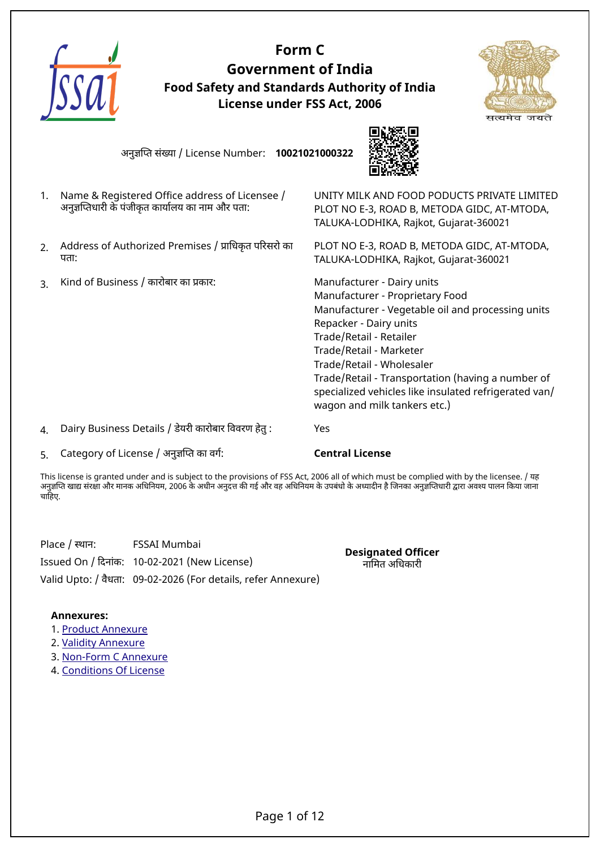

## **Form C Government of India Food Safety and Standards Authority of India License under FSS Act, 2006**



अनुजिपत संखया / License Number: **10021021000322**



- 1. Name & Registered Office address of Licensee / अनुजिपतधारी के पंजीकृत कायारलय का नाम और पता:
- 2. Address of Authorized Premises / पािधकृत पिरसरो का पता:
- 3. Kind of Business / कारोबार का पकार: Manufacturer Dairy units

UNITY MILK AND FOOD PODUCTS PRIVATE LIMITED PLOT NO E-3, ROAD B, METODA GIDC, AT-MTODA, TALUKA-LODHIKA, Rajkot, Gujarat-360021

PLOT NO E-3, ROAD B, METODA GIDC, AT-MTODA, TALUKA-LODHIKA, Rajkot, Gujarat-360021

 Manufacturer - Proprietary Food Manufacturer - Vegetable oil and processing units Repacker - Dairy units Trade/Retail - Retailer Trade/Retail - Marketer Trade/Retail - Wholesaler Trade/Retail - Transportation (having a number of specialized vehicles like insulated refrigerated van/ wagon and milk tankers etc.)

4. Dairy Business Details / डेयरी कारोबार िववरण हेतु : Yes

5. Category of License / अनुजिपत का वगर: **Central License**

This license is granted under and is subject to the provisions of FSS Act, 2006 all of which must be complied with by the licensee. / यह अनुज्ञप्ति खाद्य संरक्षा और मानक अधिनियम, 2006 के अधीन अनुदत्त की गई और वह अधिनियम के उपबंधो के अध्यादीन है जिनका अनुज्ञप्तिधारी द्वारा अवश्य पालन किया जाना चाहिए.

Place / स्थान: FSSAI Mumbai

Issued On / िदनांक: 10-02-2021 (New License)

Valid Upto: / वैधता: 09-02-2026 (For details, refer Annexure)

**Designated Officer** नािमत अिधकारी

#### **Annexures:**

- 1. [Product Annexure](#page-2-0)
- 2. [Validity Annexure](#page-8-0)
- 3. [Non-Form C Annexure](#page-9-0)
- 4. [Conditions Of License](#page-10-0)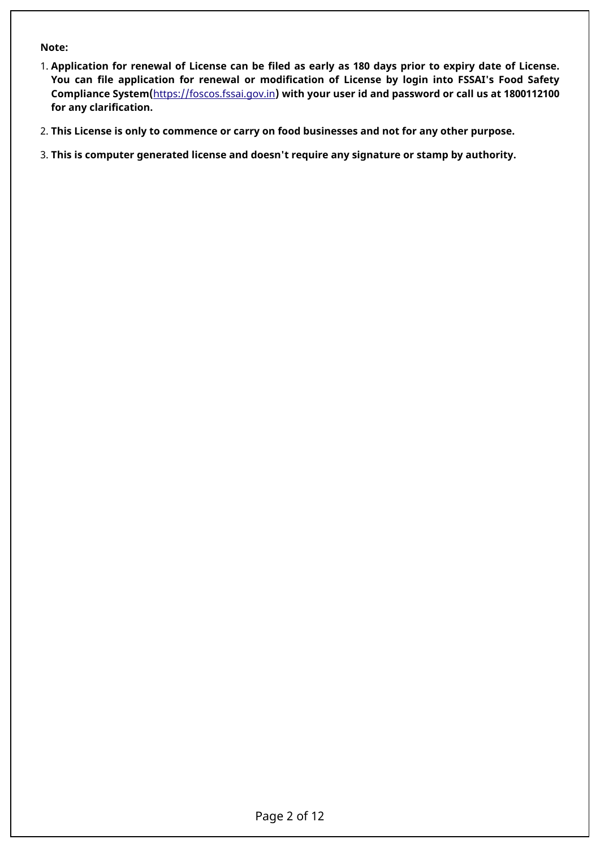#### **Note:**

- 1. **Application for renewal of License can be filed as early as 180 days prior to expiry date of License. You can file application for renewal or modification of License by login into FSSAI's Food Safety Compliance System(**<https://foscos.fssai.gov.in>**) with your user id and password or call us at 1800112100 for any clarification.**
- 2. **This License is only to commence or carry on food businesses and not for any other purpose.**
- 3. **This is computer generated license and doesn't require any signature or stamp by authority.**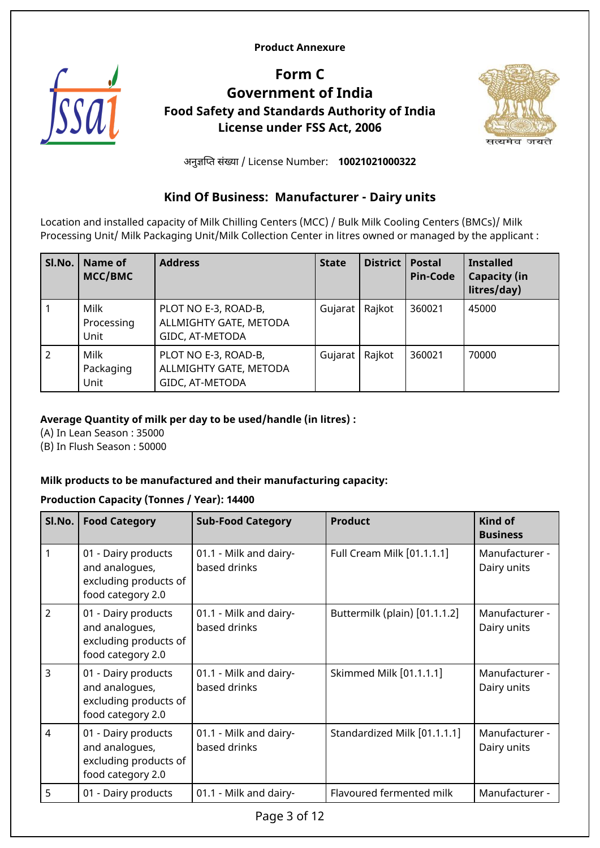#### <span id="page-2-0"></span>**Product Annexure**



## **Form C Government of India Food Safety and Standards Authority of India License under FSS Act, 2006**



अनुजिपत संखया / License Number: **10021021000322**

## **Kind Of Business: Manufacturer - Dairy units**

Location and installed capacity of Milk Chilling Centers (MCC) / Bulk Milk Cooling Centers (BMCs)/ Milk Processing Unit/ Milk Packaging Unit/Milk Collection Center in litres owned or managed by the applicant :

| SI.No.         | Name of<br>MCC/BMC         | <b>Address</b>                                                    | <b>State</b> | District | <b>Postal</b><br><b>Pin-Code</b> | <b>Installed</b><br><b>Capacity (in</b><br>litres/day) |
|----------------|----------------------------|-------------------------------------------------------------------|--------------|----------|----------------------------------|--------------------------------------------------------|
|                | Milk<br>Processing<br>Unit | PLOT NO E-3, ROAD-B,<br>ALLMIGHTY GATE, METODA<br>GIDC, AT-METODA | Gujarat      | Rajkot   | 360021                           | 45000                                                  |
| $\overline{2}$ | Milk<br>Packaging<br>Unit  | PLOT NO E-3, ROAD-B,<br>ALLMIGHTY GATE, METODA<br>GIDC, AT-METODA | Gujarat      | Rajkot   | 360021                           | 70000                                                  |

#### **Average Quantity of milk per day to be used/handle (in litres) :**

(A) In Lean Season : 35000

(B) In Flush Season : 50000

#### **Milk products to be manufactured and their manufacturing capacity:**

#### **Production Capacity (Tonnes / Year): 14400**

| SI.No.         | <b>Food Category</b>                                                                | <b>Sub-Food Category</b>               | <b>Product</b>                | <b>Kind of</b><br><b>Business</b> |
|----------------|-------------------------------------------------------------------------------------|----------------------------------------|-------------------------------|-----------------------------------|
|                | 01 - Dairy products<br>and analogues,<br>excluding products of<br>food category 2.0 | 01.1 - Milk and dairy-<br>based drinks | Full Cream Milk [01.1.1.1]    | Manufacturer -<br>Dairy units     |
| $\overline{2}$ | 01 - Dairy products<br>and analogues,<br>excluding products of<br>food category 2.0 | 01.1 - Milk and dairy-<br>based drinks | Buttermilk (plain) [01.1.1.2] | Manufacturer -<br>Dairy units     |
| 3              | 01 - Dairy products<br>and analogues,<br>excluding products of<br>food category 2.0 | 01.1 - Milk and dairy-<br>based drinks | Skimmed Milk [01.1.1.1]       | Manufacturer -<br>Dairy units     |
| $\overline{4}$ | 01 - Dairy products<br>and analogues,<br>excluding products of<br>food category 2.0 | 01.1 - Milk and dairy-<br>based drinks | Standardized Milk [01.1.1.1]  | Manufacturer -<br>Dairy units     |
| 5              | 01 - Dairy products                                                                 | 01.1 - Milk and dairy-                 | Flavoured fermented milk      | Manufacturer -                    |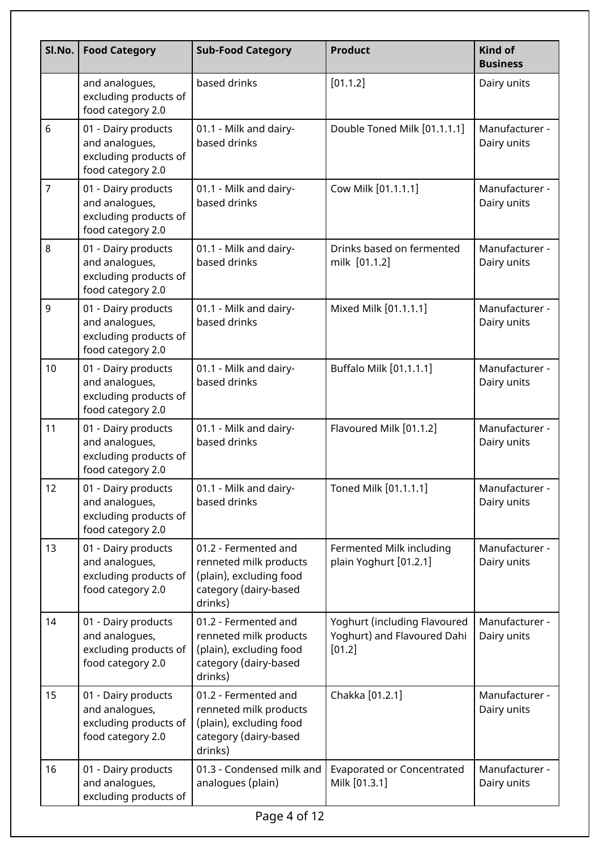| SI.No. | <b>Food Category</b>                                                                | <b>Sub-Food Category</b>                                                                                      | <b>Product</b>                                                        | <b>Kind of</b><br><b>Business</b> |
|--------|-------------------------------------------------------------------------------------|---------------------------------------------------------------------------------------------------------------|-----------------------------------------------------------------------|-----------------------------------|
|        | and analogues,<br>excluding products of<br>food category 2.0                        | based drinks                                                                                                  | [01.1.2]                                                              | Dairy units                       |
| 6      | 01 - Dairy products<br>and analogues,<br>excluding products of<br>food category 2.0 | 01.1 - Milk and dairy-<br>based drinks                                                                        | Double Toned Milk [01.1.1.1]                                          |                                   |
| 7      | 01 - Dairy products<br>and analogues,<br>excluding products of<br>food category 2.0 | 01.1 - Milk and dairy-<br>based drinks                                                                        | Cow Milk [01.1.1.1]                                                   | Manufacturer -<br>Dairy units     |
| 8      | 01 - Dairy products<br>and analogues,<br>excluding products of<br>food category 2.0 | 01.1 - Milk and dairy-<br>based drinks                                                                        | Drinks based on fermented<br>milk [01.1.2]                            | Manufacturer -<br>Dairy units     |
| 9      | 01 - Dairy products<br>and analogues,<br>excluding products of<br>food category 2.0 | 01.1 - Milk and dairy-<br>based drinks                                                                        | Mixed Milk [01.1.1.1]                                                 | Manufacturer -<br>Dairy units     |
| 10     | 01 - Dairy products<br>and analogues,<br>excluding products of<br>food category 2.0 | 01.1 - Milk and dairy-<br>based drinks                                                                        | Buffalo Milk [01.1.1.1]                                               | Manufacturer -<br>Dairy units     |
| 11     | 01 - Dairy products<br>and analogues,<br>excluding products of<br>food category 2.0 | 01.1 - Milk and dairy-<br>based drinks                                                                        | Flavoured Milk [01.1.2]                                               | Manufacturer -<br>Dairy units     |
| 12     | 01 - Dairy products<br>and analogues,<br>excluding products of<br>food category 2.0 | 01.1 - Milk and dairy-<br>based drinks                                                                        | Toned Milk [01.1.1.1]                                                 | Manufacturer -<br>Dairy units     |
| 13     | 01 - Dairy products<br>and analogues,<br>excluding products of<br>food category 2.0 | 01.2 - Fermented and<br>renneted milk products<br>(plain), excluding food<br>category (dairy-based<br>drinks) | Fermented Milk including<br>plain Yoghurt [01.2.1]                    | Manufacturer -<br>Dairy units     |
| 14     | 01 - Dairy products<br>and analogues,<br>excluding products of<br>food category 2.0 | 01.2 - Fermented and<br>renneted milk products<br>(plain), excluding food<br>category (dairy-based<br>drinks) | Yoghurt (including Flavoured<br>Yoghurt) and Flavoured Dahi<br>[01.2] | Manufacturer -<br>Dairy units     |
| 15     | 01 - Dairy products<br>and analogues,<br>excluding products of<br>food category 2.0 | 01.2 - Fermented and<br>renneted milk products<br>(plain), excluding food<br>category (dairy-based<br>drinks) | Chakka [01.2.1]                                                       | Manufacturer -<br>Dairy units     |
| 16     | 01 - Dairy products<br>and analogues,<br>excluding products of                      | 01.3 - Condensed milk and<br>analogues (plain)                                                                | <b>Evaporated or Concentrated</b><br>Milk [01.3.1]                    | Manufacturer -<br>Dairy units     |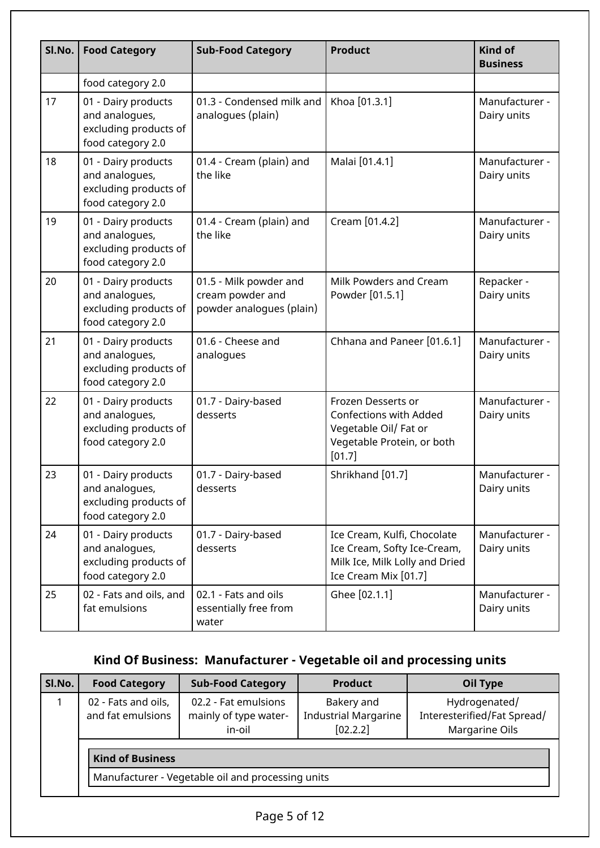| Sl.No. | <b>Food Category</b>                                                                | <b>Sub-Food Category</b>                                               | <b>Product</b>                                                                                                       | <b>Kind of</b><br><b>Business</b> |
|--------|-------------------------------------------------------------------------------------|------------------------------------------------------------------------|----------------------------------------------------------------------------------------------------------------------|-----------------------------------|
|        | food category 2.0                                                                   |                                                                        |                                                                                                                      |                                   |
| 17     | 01 - Dairy products<br>and analogues,<br>excluding products of<br>food category 2.0 | 01.3 - Condensed milk and<br>analogues (plain)                         | Khoa [01.3.1]                                                                                                        | Manufacturer -<br>Dairy units     |
| 18     | 01 - Dairy products<br>and analogues,<br>excluding products of<br>food category 2.0 | 01.4 - Cream (plain) and<br>the like                                   | Malai [01.4.1]                                                                                                       | Manufacturer -<br>Dairy units     |
| 19     | 01 - Dairy products<br>and analogues,<br>excluding products of<br>food category 2.0 | 01.4 - Cream (plain) and<br>the like                                   | Cream [01.4.2]                                                                                                       | Manufacturer -<br>Dairy units     |
| 20     | 01 - Dairy products<br>and analogues,<br>excluding products of<br>food category 2.0 | 01.5 - Milk powder and<br>cream powder and<br>powder analogues (plain) | Milk Powders and Cream<br>Powder [01.5.1]                                                                            | Repacker -<br>Dairy units         |
| 21     | 01 - Dairy products<br>and analogues,<br>excluding products of<br>food category 2.0 | 01.6 - Cheese and<br>analogues                                         | Chhana and Paneer [01.6.1]                                                                                           | Manufacturer -<br>Dairy units     |
| 22     | 01 - Dairy products<br>and analogues,<br>excluding products of<br>food category 2.0 | 01.7 - Dairy-based<br>desserts                                         | Frozen Desserts or<br><b>Confections with Added</b><br>Vegetable Oil/ Fat or<br>Vegetable Protein, or both<br>[01.7] | Manufacturer -<br>Dairy units     |
| 23     | 01 - Dairy products<br>and analogues,<br>excluding products of<br>food category 2.0 | 01.7 - Dairy-based<br>desserts                                         | Shrikhand [01.7]                                                                                                     | Manufacturer -<br>Dairy units     |
| 24     | 01 - Dairy products<br>and analogues,<br>excluding products of<br>food category 2.0 | 01.7 - Dairy-based<br>desserts                                         | Ice Cream, Kulfi, Chocolate<br>Ice Cream, Softy Ice-Cream,<br>Milk Ice, Milk Lolly and Dried<br>Ice Cream Mix [01.7] | Manufacturer -<br>Dairy units     |
| 25     | 02 - Fats and oils, and<br>fat emulsions                                            | 02.1 - Fats and oils<br>essentially free from<br>water                 | Ghee [02.1.1]                                                                                                        | Manufacturer -<br>Dairy units     |

## **Kind Of Business: Manufacturer - Vegetable oil and processing units**

| SI.No. | <b>Food Category</b>                              | <b>Sub-Food Category</b>                                | <b>Product</b>                                        | Oil Type                                                       |  |
|--------|---------------------------------------------------|---------------------------------------------------------|-------------------------------------------------------|----------------------------------------------------------------|--|
|        | 02 - Fats and oils,<br>and fat emulsions          | 02.2 - Fat emulsions<br>mainly of type water-<br>in-oil | Bakery and<br><b>Industrial Margarine</b><br>[02.2.2] | Hydrogenated/<br>Interesterified/Fat Spread/<br>Margarine Oils |  |
|        | <b>Kind of Business</b>                           |                                                         |                                                       |                                                                |  |
|        | Manufacturer - Vegetable oil and processing units |                                                         |                                                       |                                                                |  |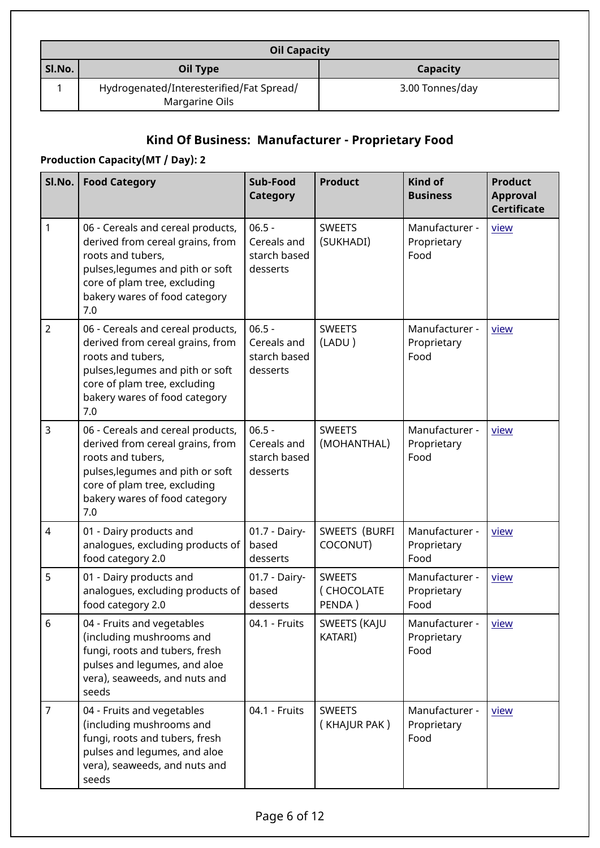|        | <b>Oil Capacity</b>                                        |                 |  |  |  |
|--------|------------------------------------------------------------|-----------------|--|--|--|
| Sl.No. | Oil Type                                                   | Capacity        |  |  |  |
|        | Hydrogenated/Interesterified/Fat Spread/<br>Margarine Oils | 3.00 Tonnes/day |  |  |  |

## **Kind Of Business: Manufacturer - Proprietary Food**

## **Production Capacity(MT / Day): 2**

| $Sl$ . $ $     | <b>Food Category</b>                                                                                                                                                                                   | Sub-Food<br><b>Category</b>                         | <b>Product</b>                        | <b>Kind of</b><br><b>Business</b>     | <b>Product</b><br><b>Approval</b><br><b>Certificate</b> |
|----------------|--------------------------------------------------------------------------------------------------------------------------------------------------------------------------------------------------------|-----------------------------------------------------|---------------------------------------|---------------------------------------|---------------------------------------------------------|
| 1              | 06 - Cereals and cereal products,<br>derived from cereal grains, from<br>roots and tubers,<br>pulses, legumes and pith or soft<br>core of plam tree, excluding<br>bakery wares of food category<br>7.0 | $06.5 -$<br>Cereals and<br>starch based<br>desserts | <b>SWEETS</b><br>(SUKHADI)            | Manufacturer -<br>Proprietary<br>Food | view                                                    |
| $\overline{2}$ | 06 - Cereals and cereal products,<br>derived from cereal grains, from<br>roots and tubers,<br>pulses, legumes and pith or soft<br>core of plam tree, excluding<br>bakery wares of food category<br>7.0 | $06.5 -$<br>Cereals and<br>starch based<br>desserts | <b>SWEETS</b><br>(LADU)               | Manufacturer -<br>Proprietary<br>Food | view                                                    |
| 3              | 06 - Cereals and cereal products,<br>derived from cereal grains, from<br>roots and tubers.<br>pulses, legumes and pith or soft<br>core of plam tree, excluding<br>bakery wares of food category<br>7.0 | $06.5 -$<br>Cereals and<br>starch based<br>desserts | <b>SWEETS</b><br>(MOHANTHAL)          | Manufacturer -<br>Proprietary<br>Food | view                                                    |
| $\overline{4}$ | 01 - Dairy products and<br>analogues, excluding products of<br>food category 2.0                                                                                                                       | 01.7 - Dairy-<br>based<br>desserts                  | SWEETS (BURFI<br>COCONUT)             | Manufacturer -<br>Proprietary<br>Food | view                                                    |
| 5              | 01 - Dairy products and<br>analogues, excluding products of<br>food category 2.0                                                                                                                       | 01.7 - Dairy-<br>based<br>desserts                  | <b>SWEETS</b><br>(CHOCOLATE<br>PENDA) | Manufacturer -<br>Proprietary<br>Food | view                                                    |
| $6\phantom{1}$ | 04 - Fruits and vegetables<br>(including mushrooms and<br>fungi, roots and tubers, fresh<br>pulses and legumes, and aloe<br>vera), seaweeds, and nuts and<br>seeds                                     | 04.1 - Fruits                                       | SWEETS (KAJU<br>KATARI)               | Manufacturer -<br>Proprietary<br>Food | view                                                    |
| $\overline{7}$ | 04 - Fruits and vegetables<br>(including mushrooms and<br>fungi, roots and tubers, fresh<br>pulses and legumes, and aloe<br>vera), seaweeds, and nuts and<br>seeds                                     | 04.1 - Fruits                                       | <b>SWEETS</b><br>(KHAJUR PAK)         | Manufacturer -<br>Proprietary<br>Food | view                                                    |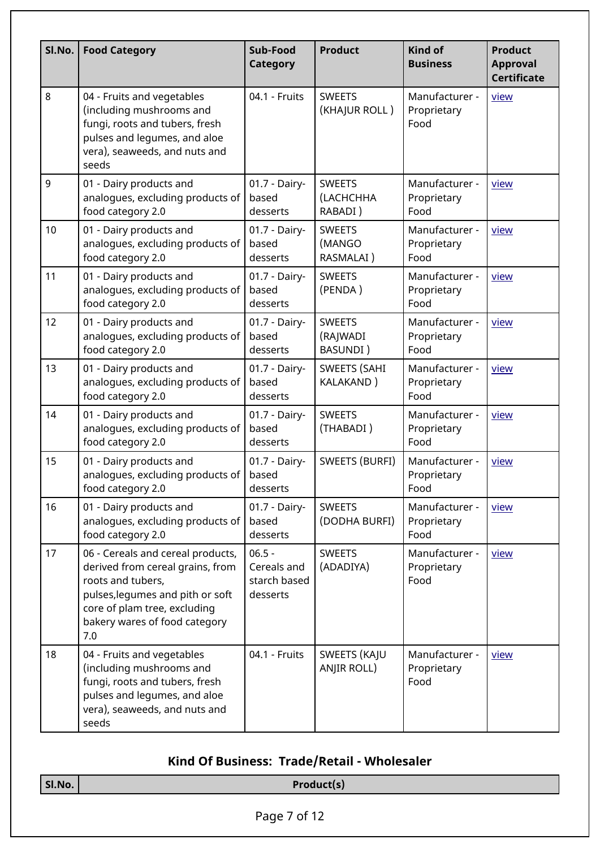| Sl.No. | <b>Food Category</b>                                                                                                                                                                                   | Sub-Food<br><b>Category</b>                         | <b>Product</b>                        | Kind of<br><b>Business</b>            | <b>Product</b><br><b>Approval</b><br><b>Certificate</b> |
|--------|--------------------------------------------------------------------------------------------------------------------------------------------------------------------------------------------------------|-----------------------------------------------------|---------------------------------------|---------------------------------------|---------------------------------------------------------|
| 8      | 04 - Fruits and vegetables<br>(including mushrooms and<br>fungi, roots and tubers, fresh<br>pulses and legumes, and aloe<br>vera), seaweeds, and nuts and<br>seeds                                     | 04.1 - Fruits                                       | <b>SWEETS</b><br>(KHAJUR ROLL)        | Manufacturer -<br>Proprietary<br>Food | view                                                    |
| 9      | 01 - Dairy products and<br>analogues, excluding products of<br>food category 2.0                                                                                                                       | 01.7 - Dairy-<br>based<br>desserts                  | <b>SWEETS</b><br>(LACHCHHA<br>RABADI) | Manufacturer -<br>Proprietary<br>Food | view                                                    |
| 10     | 01 - Dairy products and<br>analogues, excluding products of<br>food category 2.0                                                                                                                       | 01.7 - Dairy-<br>based<br>desserts                  | <b>SWEETS</b><br>(MANGO<br>RASMALAI)  | Manufacturer -<br>Proprietary<br>Food | view                                                    |
| 11     | 01 - Dairy products and<br>analogues, excluding products of<br>food category 2.0                                                                                                                       | 01.7 - Dairy-<br>based<br>desserts                  | <b>SWEETS</b><br>(PENDA)              | Manufacturer -<br>Proprietary<br>Food | view                                                    |
| 12     | 01 - Dairy products and<br>analogues, excluding products of<br>food category 2.0                                                                                                                       | 01.7 - Dairy-<br>based<br>desserts                  | <b>SWEETS</b><br>(RAJWADI<br>BASUNDI) | Manufacturer -<br>Proprietary<br>Food | view                                                    |
| 13     | 01 - Dairy products and<br>analogues, excluding products of<br>food category 2.0                                                                                                                       | 01.7 - Dairy-<br>based<br>desserts                  | <b>SWEETS (SAHI</b><br>KALAKAND)      | Manufacturer -<br>Proprietary<br>Food | view                                                    |
| 14     | 01 - Dairy products and<br>analogues, excluding products of<br>food category 2.0                                                                                                                       | 01.7 - Dairy-<br>based<br>desserts                  | <b>SWEETS</b><br>(THABADI)            | Manufacturer -<br>Proprietary<br>Food | view                                                    |
| 15     | 01 - Dairy products and<br>analogues, excluding products of  <br>food category 2.0                                                                                                                     | 01.7 - Dairy-<br>based<br>desserts                  | <b>SWEETS (BURFI)</b>                 | Manufacturer -<br>Proprietary<br>Food | view                                                    |
| 16     | 01 - Dairy products and<br>analogues, excluding products of<br>food category 2.0                                                                                                                       | 01.7 - Dairy-<br>based<br>desserts                  | <b>SWEETS</b><br>(DODHA BURFI)        | Manufacturer -<br>Proprietary<br>Food | view                                                    |
| 17     | 06 - Cereals and cereal products,<br>derived from cereal grains, from<br>roots and tubers,<br>pulses, legumes and pith or soft<br>core of plam tree, excluding<br>bakery wares of food category<br>7.0 | $06.5 -$<br>Cereals and<br>starch based<br>desserts | <b>SWEETS</b><br>(ADADIYA)            | Manufacturer -<br>Proprietary<br>Food | view                                                    |
| 18     | 04 - Fruits and vegetables<br>(including mushrooms and<br>fungi, roots and tubers, fresh<br>pulses and legumes, and aloe<br>vera), seaweeds, and nuts and<br>seeds                                     | 04.1 - Fruits                                       | SWEETS (KAJU<br>ANJIR ROLL)           | Manufacturer -<br>Proprietary<br>Food | view                                                    |

## **Kind Of Business: Trade/Retail - Wholesaler**

| $\vert$ Sl.No. $\vert$ | Product(s)   |  |  |
|------------------------|--------------|--|--|
|                        |              |  |  |
|                        | Page 7 of 12 |  |  |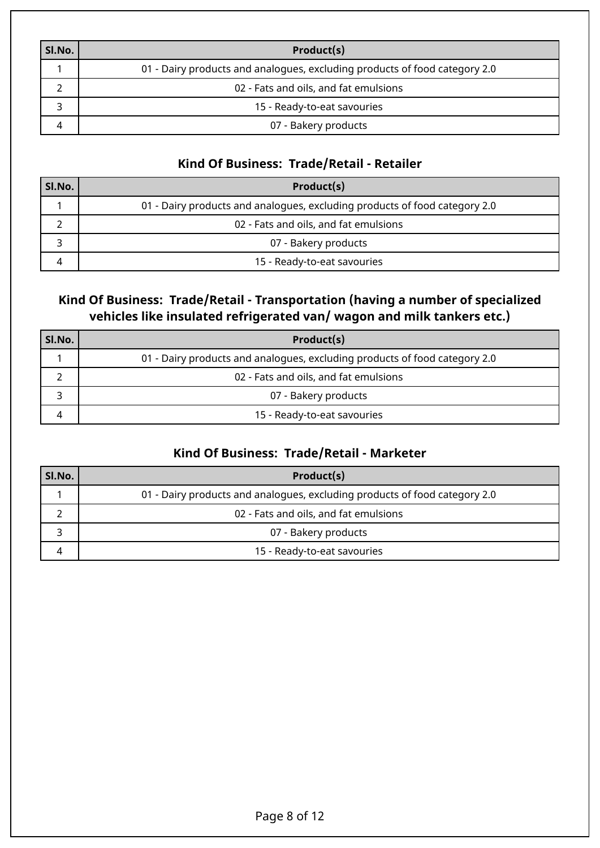| SI.No. | Product(s)                                                                 |
|--------|----------------------------------------------------------------------------|
|        | 01 - Dairy products and analogues, excluding products of food category 2.0 |
|        | 02 - Fats and oils, and fat emulsions                                      |
|        | 15 - Ready-to-eat savouries                                                |
|        | 07 - Bakery products                                                       |

## **Kind Of Business: Trade/Retail - Retailer**

| SI.No. | Product(s)                                                                 |
|--------|----------------------------------------------------------------------------|
|        | 01 - Dairy products and analogues, excluding products of food category 2.0 |
|        | 02 - Fats and oils, and fat emulsions                                      |
|        | 07 - Bakery products                                                       |
|        | 15 - Ready-to-eat savouries                                                |

## **Kind Of Business: Trade/Retail - Transportation (having a number of specialized vehicles like insulated refrigerated van/ wagon and milk tankers etc.)**

| SI.No. | Product(s)                                                                 |
|--------|----------------------------------------------------------------------------|
|        | 01 - Dairy products and analogues, excluding products of food category 2.0 |
|        | 02 - Fats and oils, and fat emulsions                                      |
|        | 07 - Bakery products                                                       |
|        | 15 - Ready-to-eat savouries                                                |

## **Kind Of Business: Trade/Retail - Marketer**

| SI.No. | Product(s)                                                                 |
|--------|----------------------------------------------------------------------------|
|        | 01 - Dairy products and analogues, excluding products of food category 2.0 |
|        | 02 - Fats and oils, and fat emulsions                                      |
|        | 07 - Bakery products                                                       |
|        | 15 - Ready-to-eat savouries                                                |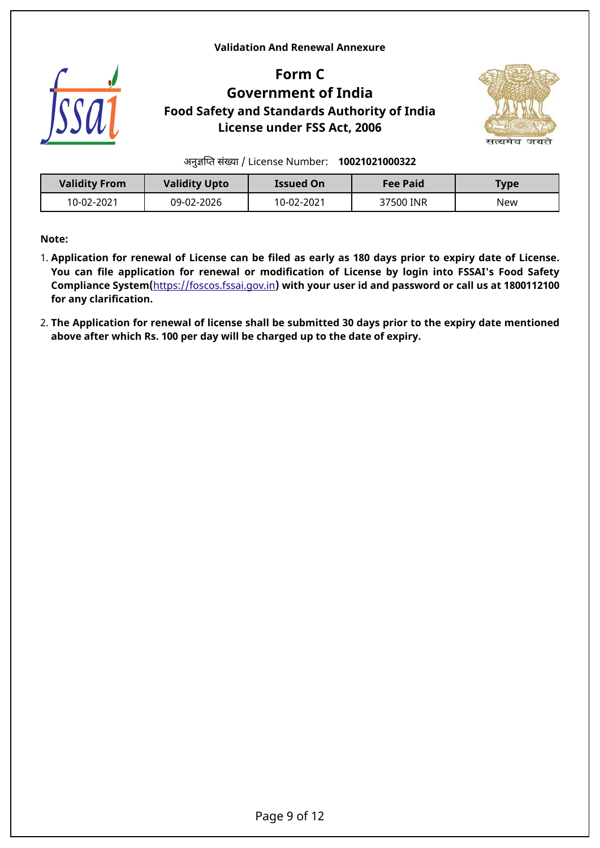#### <span id="page-8-0"></span>**Validation And Renewal Annexure**



## **Form C Government of India Food Safety and Standards Authority of India License under FSS Act, 2006**



अनुजिपत संखया / License Number: **10021021000322**

| <b>Validity From</b> | <b>Validity Upto</b> | <b>Issued On</b> | <b>Fee Paid</b> | Type |
|----------------------|----------------------|------------------|-----------------|------|
| 10-02-2021           | 09-02-2026           | 10-02-2021       | 37500 INR       | New  |

**Note:**

- 1. **Application for renewal of License can be filed as early as 180 days prior to expiry date of License. You can file application for renewal or modification of License by login into FSSAI's Food Safety Compliance System(**<https://foscos.fssai.gov.in>**) with your user id and password or call us at 1800112100 for any clarification.**
- 2. **The Application for renewal of license shall be submitted 30 days prior to the expiry date mentioned above after which Rs. 100 per day will be charged up to the date of expiry.**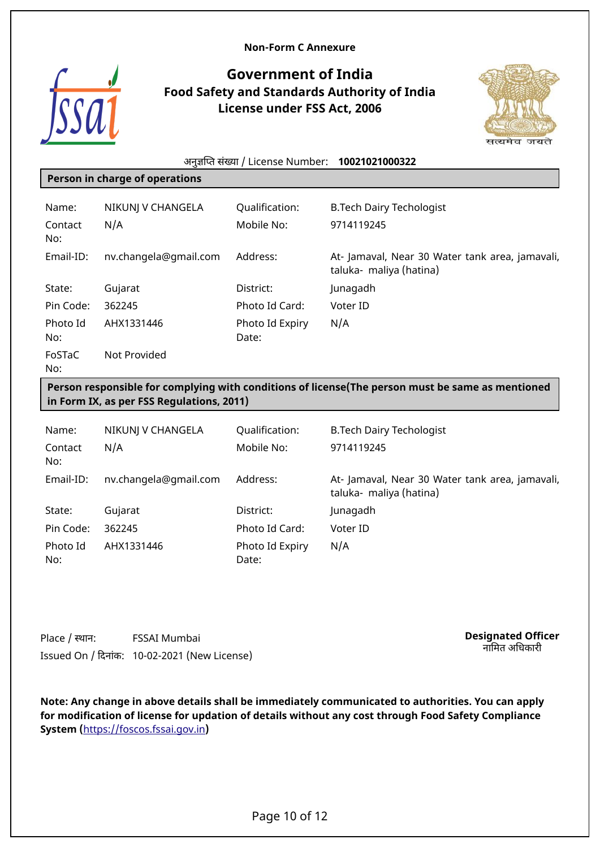

## <span id="page-9-0"></span>**Government of India Food Safety and Standards Authority of India License under FSS Act, 2006**



#### अनुजिपत संखया / License Number: **10021021000322**

#### **Person in charge of operations**

| Name:<br>Contact<br>No: | NIKUNJ V CHANGELA<br>N/A | Qualification:<br>Mobile No: | <b>B.Tech Dairy Techologist</b><br>9714119245                              |
|-------------------------|--------------------------|------------------------------|----------------------------------------------------------------------------|
| Email-ID:               | nv.changela@gmail.com    | Address:                     | At- Jamaval, Near 30 Water tank area, jamavali,<br>taluka- maliya (hatina) |
| State:                  | Gujarat                  | District:                    | Junagadh                                                                   |
| Pin Code:               | 362245                   | Photo Id Card:               | Voter ID                                                                   |
| Photo Id<br>No:         | AHX1331446               | Photo Id Expiry<br>Date:     | N/A                                                                        |
| FoSTaC<br>No:           | Not Provided             |                              |                                                                            |

#### **Person responsible for complying with conditions of license(The person must be same as mentioned in Form IX, as per FSS Regulations, 2011)**

| Name:           | NIKUNJ V CHANGELA     | Qualification:           | <b>B.Tech Dairy Techologist</b>                                           |
|-----------------|-----------------------|--------------------------|---------------------------------------------------------------------------|
| Contact<br>No:  | N/A                   | Mobile No:               | 9714119245                                                                |
| Email-ID:       | nv.changela@gmail.com | Address:                 | At-Jamaval, Near 30 Water tank area, jamavali,<br>taluka- maliya (hatina) |
| State:          | Gujarat               | District:                | Junagadh                                                                  |
| Pin Code:       | 362245                | Photo Id Card:           | Voter ID                                                                  |
| Photo Id<br>No: | AHX1331446            | Photo Id Expiry<br>Date: | N/A                                                                       |

Place / स्थान: FSSAI Mumbai Issued On / िदनांक: 10-02-2021 (New License) **Designated Officer** नािमत अिधकारी

**Note: Any change in above details shall be immediately communicated to authorities. You can apply for modification of license for updation of details without any cost through Food Safety Compliance System (**<https://foscos.fssai.gov.in>**)**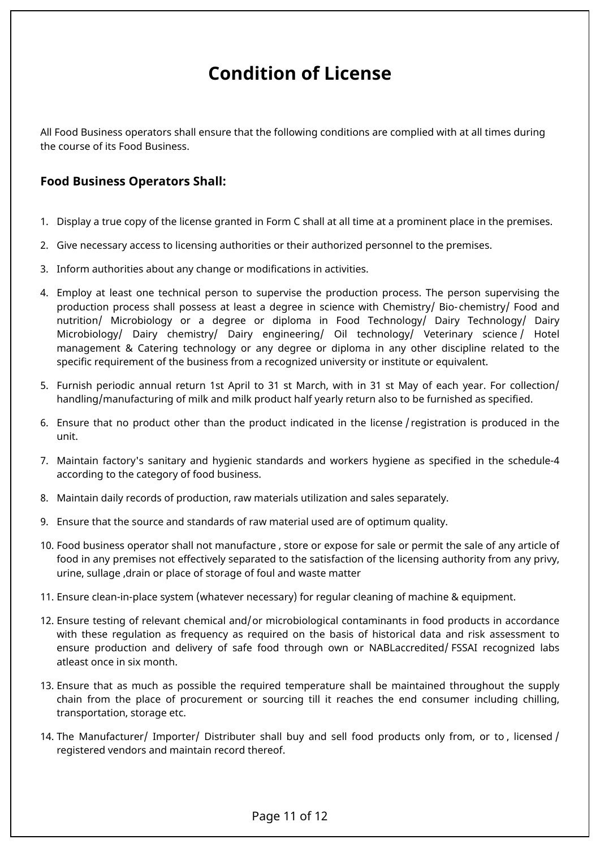# <span id="page-10-0"></span>**Condition of License**

All Food Business operators shall ensure that the following conditions are complied with at all times during the course of its Food Business.

### **Food Business Operators Shall:**

- 1. Display a true copy of the license granted in Form C shall at all time at a prominent place in the premises.
- 2. Give necessary access to licensing authorities or their authorized personnel to the premises.
- 3. Inform authorities about any change or modifications in activities.
- 4. Employ at least one technical person to supervise the production process. The person supervising the production process shall possess at least a degree in science with Chemistry/ Bio- chemistry/ Food and nutrition/ Microbiology or a degree or diploma in Food Technology/ Dairy Technology/ Dairy Microbiology/ Dairy chemistry/ Dairy engineering/ Oil technology/ Veterinary science / Hotel management & Catering technology or any degree or diploma in any other discipline related to the specific requirement of the business from a recognized university or institute or equivalent.
- 5. Furnish periodic annual return 1st April to 31 st March, with in 31 st May of each year. For collection/ handling/manufacturing of milk and milk product half yearly return also to be furnished as specified.
- 6. Ensure that no product other than the product indicated in the license / registration is produced in the unit.
- 7. Maintain factory's sanitary and hygienic standards and workers hygiene as specified in the schedule-4 according to the category of food business.
- 8. Maintain daily records of production, raw materials utilization and sales separately.
- 9. Ensure that the source and standards of raw material used are of optimum quality.
- 10. Food business operator shall not manufacture , store or expose for sale or permit the sale of any article of food in any premises not effectively separated to the satisfaction of the licensing authority from any privy, urine, sullage ,drain or place of storage of foul and waste matter
- 11. Ensure clean-in-place system (whatever necessary) for regular cleaning of machine & equipment.
- 12. Ensure testing of relevant chemical and/or microbiological contaminants in food products in accordance with these regulation as frequency as required on the basis of historical data and risk assessment to ensure production and delivery of safe food through own or NABLaccredited/ FSSAI recognized labs atleast once in six month.
- 13. Ensure that as much as possible the required temperature shall be maintained throughout the supply chain from the place of procurement or sourcing till it reaches the end consumer including chilling, transportation, storage etc.
- 14. The Manufacturer/ Importer/ Distributer shall buy and sell food products only from, or to , licensed / registered vendors and maintain record thereof.